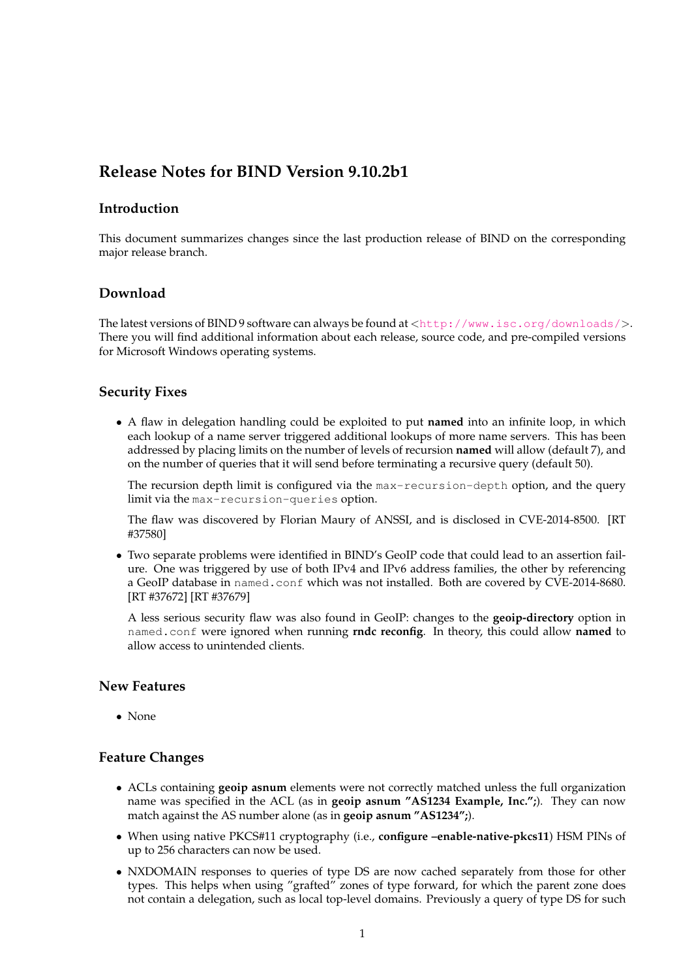# **Release Notes for BIND Version 9.10.2b1**

#### **Introduction**

This document summarizes changes since the last production release of BIND on the corresponding major release branch.

## **Download**

The latest versions of BIND 9 software can always be found at <<http://www.isc.org/downloads/>>. There you will find additional information about each release, source code, and pre-compiled versions for Microsoft Windows operating systems.

#### **Security Fixes**

• A flaw in delegation handling could be exploited to put **named** into an infinite loop, in which each lookup of a name server triggered additional lookups of more name servers. This has been addressed by placing limits on the number of levels of recursion **named** will allow (default 7), and on the number of queries that it will send before terminating a recursive query (default 50).

The recursion depth limit is configured via the max-recursion-depth option, and the query limit via the max-recursion-queries option.

The flaw was discovered by Florian Maury of ANSSI, and is disclosed in CVE-2014-8500. [RT #37580]

• Two separate problems were identified in BIND's GeoIP code that could lead to an assertion failure. One was triggered by use of both IPv4 and IPv6 address families, the other by referencing a GeoIP database in named.conf which was not installed. Both are covered by CVE-2014-8680. [RT #37672] [RT #37679]

A less serious security flaw was also found in GeoIP: changes to the **geoip-directory** option in named.conf were ignored when running **rndc reconfig**. In theory, this could allow **named** to allow access to unintended clients.

#### **New Features**

• None

#### **Feature Changes**

- ACLs containing **geoip asnum** elements were not correctly matched unless the full organization name was specified in the ACL (as in **geoip asnum "AS1234 Example, Inc.";**). They can now match against the AS number alone (as in **geoip asnum "AS1234";**).
- When using native PKCS#11 cryptography (i.e., **configure –enable-native-pkcs11**) HSM PINs of up to 256 characters can now be used.
- NXDOMAIN responses to queries of type DS are now cached separately from those for other types. This helps when using "grafted" zones of type forward, for which the parent zone does not contain a delegation, such as local top-level domains. Previously a query of type DS for such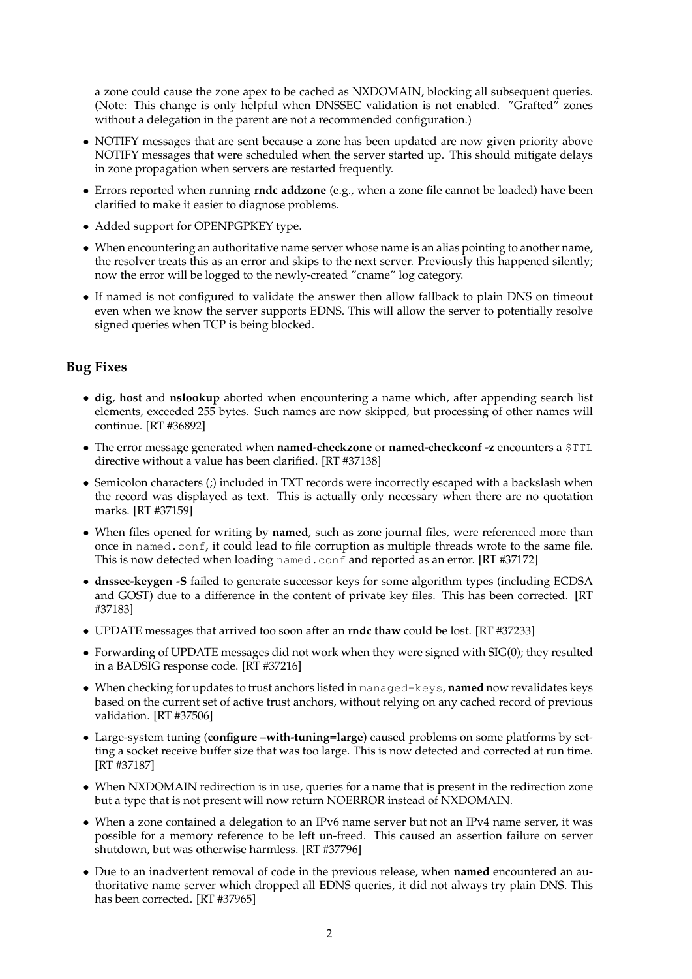a zone could cause the zone apex to be cached as NXDOMAIN, blocking all subsequent queries. (Note: This change is only helpful when DNSSEC validation is not enabled. "Grafted" zones without a delegation in the parent are not a recommended configuration.)

- NOTIFY messages that are sent because a zone has been updated are now given priority above NOTIFY messages that were scheduled when the server started up. This should mitigate delays in zone propagation when servers are restarted frequently.
- Errors reported when running **rndc addzone** (e.g., when a zone file cannot be loaded) have been clarified to make it easier to diagnose problems.
- Added support for OPENPGPKEY type.
- When encountering an authoritative name server whose name is an alias pointing to another name, the resolver treats this as an error and skips to the next server. Previously this happened silently; now the error will be logged to the newly-created "cname" log category.
- If named is not configured to validate the answer then allow fallback to plain DNS on timeout even when we know the server supports EDNS. This will allow the server to potentially resolve signed queries when TCP is being blocked.

## **Bug Fixes**

- **dig**, **host** and **nslookup** aborted when encountering a name which, after appending search list elements, exceeded 255 bytes. Such names are now skipped, but processing of other names will continue. [RT #36892]
- The error message generated when **named-checkzone** or **named-checkconf -z** encounters a \$TTL directive without a value has been clarified. [RT #37138]
- Semicolon characters (;) included in TXT records were incorrectly escaped with a backslash when the record was displayed as text. This is actually only necessary when there are no quotation marks. [RT #37159]
- When files opened for writing by **named**, such as zone journal files, were referenced more than once in named.conf, it could lead to file corruption as multiple threads wrote to the same file. This is now detected when loading named.conf and reported as an error. [RT #37172]
- **dnssec-keygen -S** failed to generate successor keys for some algorithm types (including ECDSA and GOST) due to a difference in the content of private key files. This has been corrected. [RT #37183]
- UPDATE messages that arrived too soon after an **rndc thaw** could be lost. [RT #37233]
- Forwarding of UPDATE messages did not work when they were signed with SIG(0); they resulted in a BADSIG response code. [RT #37216]
- When checking for updates to trust anchors listed in managed-keys, **named** now revalidates keys based on the current set of active trust anchors, without relying on any cached record of previous validation. [RT #37506]
- Large-system tuning (**configure –with-tuning=large**) caused problems on some platforms by setting a socket receive buffer size that was too large. This is now detected and corrected at run time. [RT #37187]
- When NXDOMAIN redirection is in use, queries for a name that is present in the redirection zone but a type that is not present will now return NOERROR instead of NXDOMAIN.
- When a zone contained a delegation to an IPv6 name server but not an IPv4 name server, it was possible for a memory reference to be left un-freed. This caused an assertion failure on server shutdown, but was otherwise harmless. [RT #37796]
- Due to an inadvertent removal of code in the previous release, when **named** encountered an authoritative name server which dropped all EDNS queries, it did not always try plain DNS. This has been corrected. [RT #37965]